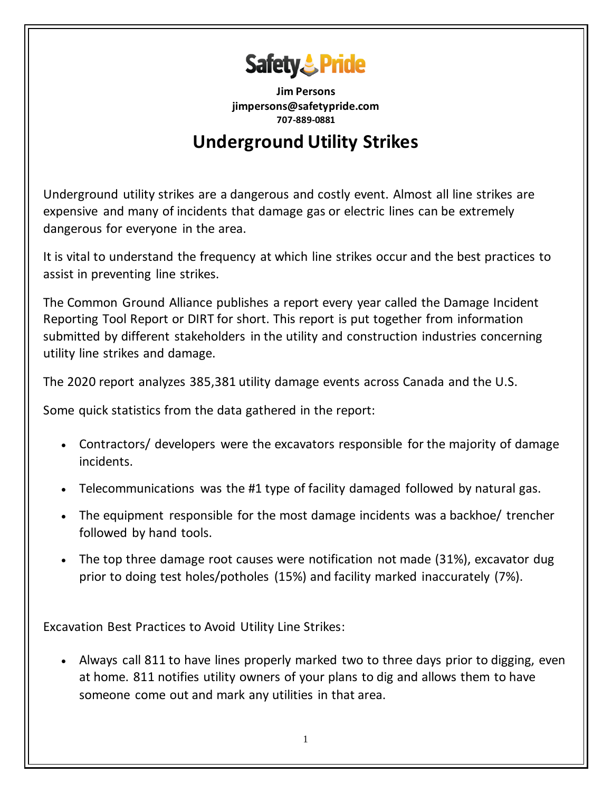

**Jim Persons jimpersons@safetypride.com 707-889-0881**

## **Underground Utility Strikes**

Underground utility strikes are a dangerous and costly event. Almost all line strikes are expensive and many of incidents that damage gas or electric lines can be extremely dangerous for everyone in the area.

It is vital to understand the frequency at which line strikes occur and the best practices to assist in preventing line strikes.

The Common Ground Alliance publishes a report every year called the Damage Incident Reporting Tool Report or DIRT for short. This report is put together from information submitted by different stakeholders in the utility and [construction](https://www.safetytalkideas.com/safety-talks/construction-industry/) industries concerning utility line strikes and damage.

The 2020 report analyzes 385,381 utility damage events across Canada and the U.S.

Some quick statistics from the data gathered in the report:

- Contractors/ developers were the excavators responsible for the majority of damage incidents.
- Telecommunications was the #1 type of facility damaged followed by natural gas.
- The equipment responsible for the most damage incidents was a backhoe/ trencher followed by hand tools.
- The top three damage root causes were notification not made (31%), excavator dug prior to doing test holes/potholes (15%) and facility marked inaccurately (7%).

Excavation Best Practices to Avoid Utility Line Strikes:

• [Always call 811](http://call811.com/) to have lines properly marked two to three days prior to digging, even at home. 811 notifies utility owners of your plans to dig and allows them to have someone come out and mark any utilities in that area.